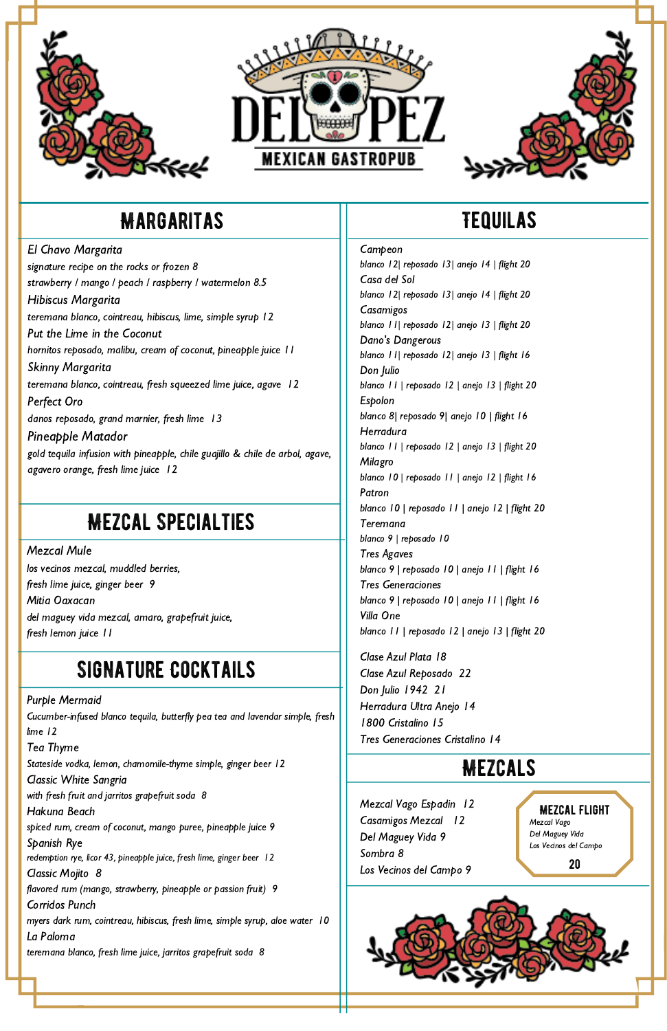





# Margaritas

El Chavo Margarita

signature recipe on the rocks or frozen 8 strawberry / mango / peach / raspberry / watermelon 8.5 Hibiscus Margarita teremana blanco, cointreau, hibiscus, lime, simple syrup 12 Put the Lime in the Coconut hornitos reposado, malibu, cream of coconut, pineapple juice 11 Skinny Margarita teremana blanco, cointreau, fresh squeezed lime juice, agave 12 Perfect Oro danos reposado, grand marnier, fresh lime 13 Pineapple Matador gold tequila infusion with pineapple, chile guajillo & chile de arbol, agave, agavero orange, fresh lime juice 12

Mezcal Mule los vecinos mezcal, muddled berries, fresh lime juice, ginger beer 9 Mitia Oaxacan del maguey vida mezcal, amaro, grapefruit juice, fresh lemon juice 11

# Tequilas

Campeon blanco 12| reposado 13| anejo 14 | flight 20 Casa del Sol blanco 12| reposado 13| anejo 14 | flight 20 **Casamigos** blanco 11| reposado 12| anejo 13 | flight 20 Dano's Dangerous blanco 11| reposado 12| anejo 13 | flight 16 Don Julio blanco 11 | reposado 12 | anejo 13 | flight 20 Espolon blanco 8| reposado 9| anejo 10 | flight 16 Herradura blanco 11 | reposado 12 | anejo 13 | flight 20 Milagro blanco 10 | reposado 11 | anejo 12 | flight 16 Patron blanco 10 | reposado 11 | anejo 12 | flight 20 Teremana blanco 9 | reposado 10 Tres Agaves blanco 9 | reposado 10 | anejo 11 | flight 16 Tres Generaciones blanco 9 | reposado 10 | anejo 11 | flight 16 Villa One blanco 11 | reposado 12 | anejo 13 | flight 20

Clase Azul Plata 18 Clase Azul Reposado 22 Don Julio 1942 21 Herradura Ultra Anejo 14 1800 Cristalino 15 Tres Generaciones Cristalino 14

Purple Mermaid Cucumber-infused blanco tequila, butterfly pea tea and lavendar simple, fresh lime 12 Tea Thyme

Stateside vodka, lemon, chamomile-thyme simple, ginger beer 12 Classic White Sangria with fresh fruit and jarritos grapefruit soda 8 Hakuna Beach spiced rum, cream of coconut, mango puree, pineapple juice 9 Spanish Rye

redemption rye, licor 43, pineapple juice, fresh lime, ginger beer 12

Classic Mojito 8

flavored rum (mango, strawberry, pineapple or passion fruit) 9 Corridos Punch

myers dark rum, cointreau, hibiscus, fresh lime, simple syrup, aloe water 10 La Paloma

teremana blanco, fresh lime juice, jarritos grapefruit soda 8

## Signature Cocktails

#### Mezcals

# Mezcal Specialties

Mezcal Vago Espadin 12 Casamigos Mezcal 12 Del Maguey Vida 9 Sombra 8 Los Vecinos del Campo 9

Mezcal Flight Mezcal Vago Del Maguey Vida Los Vecinos del Campo

20